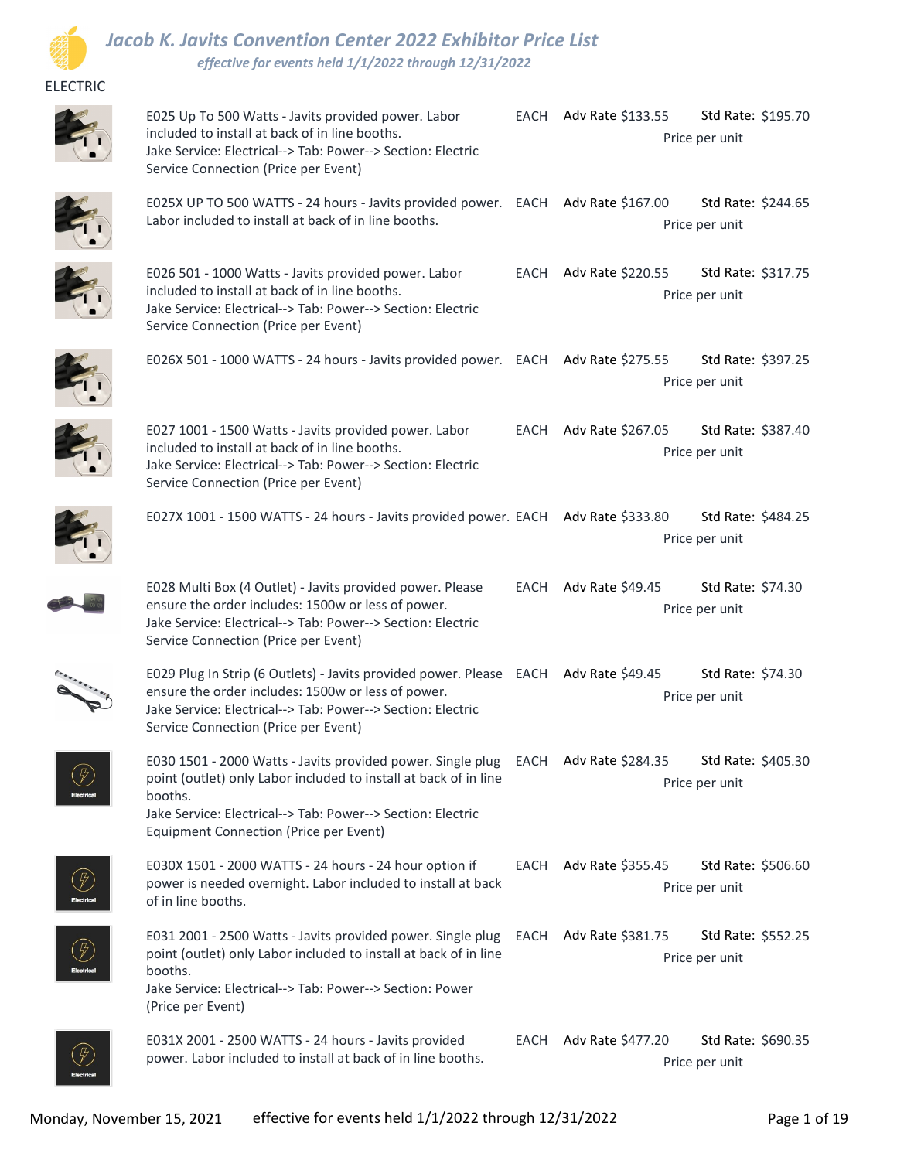

## Jacob K. Javits Convention Center 2022 Exhibitor Price List effective for events held 1/1/2022 through 12/31/2022

## ELECTRIC



E025 Up To 500 Watts - Javits provided power. Labor included to install at back of in line booths. Jake Service: Electrical--> Tab: Power--> Section: Electric Service Connection (Price per Event) Std Rate: \$195.70 Price per unit EACH Adv Rate \$133.55



E025X UP TO 500 WATTS - 24 hours - Javits provided power. EACH Adv Rate \$167.00 Std Rate: \$244.65 Labor included to install at back of in line booths. Std Rate: \$244.65 Price per unit



| E026 501 - 1000 Watts - Javits provided power. Labor                                                                                                  | EACH | Adv Rate \$220.55 | Std Rate: \$317.75 |  |
|-------------------------------------------------------------------------------------------------------------------------------------------------------|------|-------------------|--------------------|--|
| included to install at back of in line booths.<br>Jake Service: Electrical--> Tab: Power--> Section: Electric<br>Service Connection (Price per Event) |      | Price per unit    |                    |  |
| E026X 501 - 1000 WATTS - 24 hours - Javits provided power. EACH Adv Rate \$275.55                                                                     |      |                   | Std Rate: \$397.25 |  |
|                                                                                                                                                       |      | Price per unit    |                    |  |



 $\circled{F}$ 

|                                                                                                                                                                                                                                                                            | Price per unit         |                                      |  |
|----------------------------------------------------------------------------------------------------------------------------------------------------------------------------------------------------------------------------------------------------------------------------|------------------------|--------------------------------------|--|
| E027 1001 - 1500 Watts - Javits provided power. Labor<br>included to install at back of in line booths.<br>Jake Service: Electrical--> Tab: Power--> Section: Electric<br>Service Connection (Price per Event)                                                             | EACH Adv Rate \$267.05 | Std Rate: \$387.40<br>Price per unit |  |
| E027X 1001 - 1500 WATTS - 24 hours - Javits provided power. EACH Adv Rate \$333.80                                                                                                                                                                                         |                        | Std Rate: \$484.25<br>Price per unit |  |
| E028 Multi Box (4 Outlet) - Javits provided power. Please<br>ensure the order includes: 1500w or less of power.<br>Jake Service: Electrical--> Tab: Power--> Section: Electric<br>Service Connection (Price per Event)                                                     | EACH Adv Rate \$49.45  | Std Rate: \$74.30<br>Price per unit  |  |
| E029 Plug In Strip (6 Outlets) - Javits provided power. Please EACH Adv Rate \$49.45<br>ensure the order includes: 1500w or less of power.<br>Jake Service: Electrical--> Tab: Power--> Section: Electric<br>Service Connection (Price per Event)                          |                        | Std Rate: \$74.30<br>Price per unit  |  |
| E030 1501 - 2000 Watts - Javits provided power. Single plug EACH Adv Rate \$284.35<br>point (outlet) only Labor included to install at back of in line<br>booths.<br>Jake Service: Electrical--> Tab: Power--> Section: Electric<br>Equipment Connection (Price per Event) |                        | Std Rate: \$405.30<br>Price per unit |  |
| E030X 1501 - 2000 WATTS - 24 hours - 24 hour option if<br>power is needed overnight. Labor included to install at back<br>of in line booths.                                                                                                                               | EACH Adv Rate \$355.45 | Std Rate: \$506.60<br>Price per unit |  |
| E031 2001 - 2500 Watts - Javits provided power. Single plug EACH Adv Rate \$381.75<br>point (outlet) only Labor included to install at back of in line<br>booths.<br>Jake Service: Electrical--> Tab: Power--> Section: Power<br>(Price per Event)                         |                        | Std Rate: \$552.25<br>Price per unit |  |
| E031X 2001 - 2500 WATTS - 24 hours - Javits provided<br>power. Labor included to install at back of in line booths.                                                                                                                                                        | EACH Adv Rate \$477.20 | Std Rate: \$690.35<br>Price per unit |  |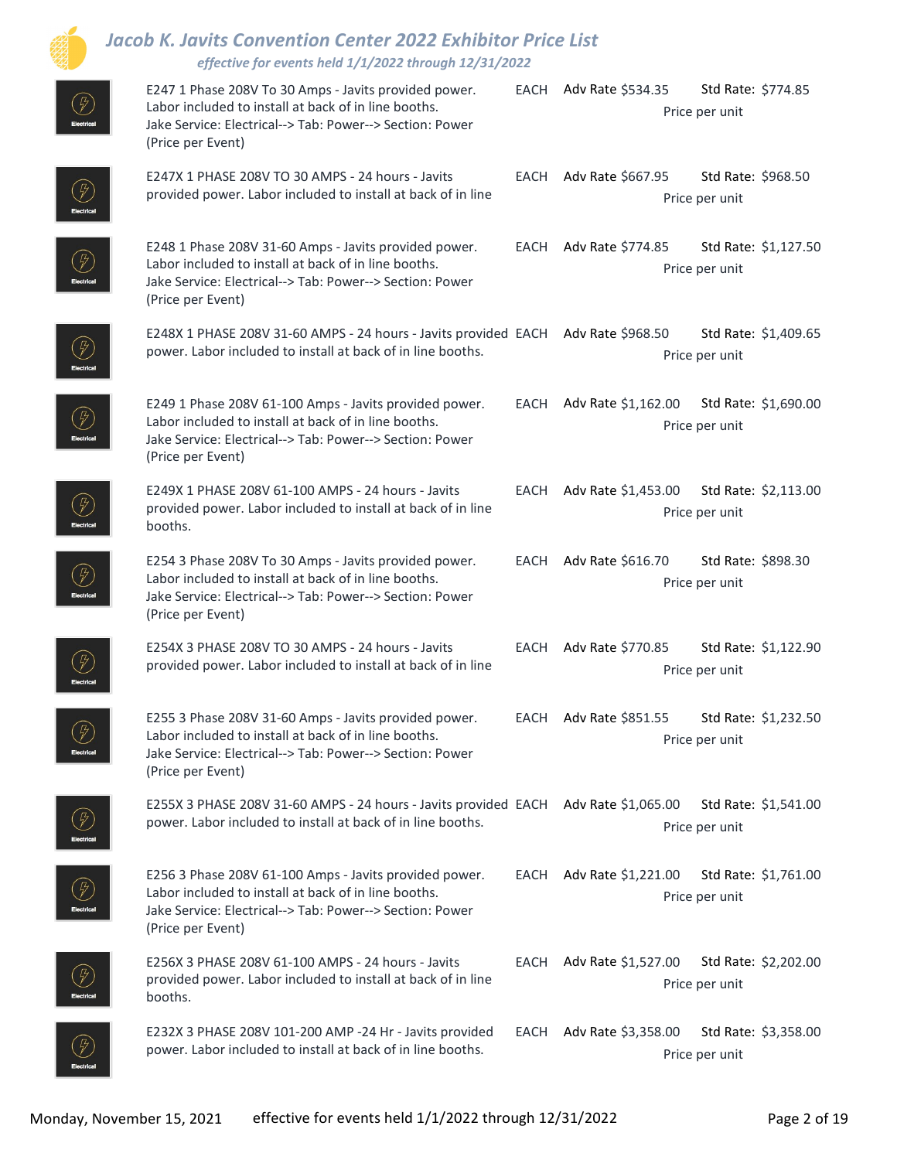|                                                | <b>Jacob K. Javits Convention Center 2022 Exhibitor Price List</b><br>effective for events held 1/1/2022 through 12/31/2022                                                                     |      |                                                                    |  |
|------------------------------------------------|-------------------------------------------------------------------------------------------------------------------------------------------------------------------------------------------------|------|--------------------------------------------------------------------|--|
| $(\%)$                                         | E247 1 Phase 208V To 30 Amps - Javits provided power.<br>Labor included to install at back of in line booths.<br>Jake Service: Electrical--> Tab: Power--> Section: Power<br>(Price per Event)  |      | EACH Adv Rate \$534.35<br>Std Rate: \$774.85<br>Price per unit     |  |
|                                                | E247X 1 PHASE 208V TO 30 AMPS - 24 hours - Javits<br>provided power. Labor included to install at back of in line                                                                               |      | EACH Adv Rate \$667.95<br>Std Rate: \$968.50<br>Price per unit     |  |
| $\left( \begin{matrix} P \end{matrix} \right)$ | E248 1 Phase 208V 31-60 Amps - Javits provided power.<br>Labor included to install at back of in line booths.<br>Jake Service: Electrical--> Tab: Power--> Section: Power<br>(Price per Event)  |      | EACH Adv Rate \$774.85<br>Std Rate: \$1,127.50<br>Price per unit   |  |
| $\left(\frac{\pi}{2}\right)$                   | E248X 1 PHASE 208V 31-60 AMPS - 24 hours - Javits provided EACH Adv Rate \$968.50<br>power. Labor included to install at back of in line booths.                                                |      | Std Rate: \$1,409.65<br>Price per unit                             |  |
| $\left(\frac{1}{2}\right)$                     | E249 1 Phase 208V 61-100 Amps - Javits provided power.<br>Labor included to install at back of in line booths.<br>Jake Service: Electrical--> Tab: Power--> Section: Power<br>(Price per Event) |      | EACH Adv Rate \$1,162.00<br>Std Rate: \$1,690.00<br>Price per unit |  |
|                                                | E249X 1 PHASE 208V 61-100 AMPS - 24 hours - Javits<br>provided power. Labor included to install at back of in line<br>booths.                                                                   |      | EACH Adv Rate \$1,453.00<br>Std Rate: \$2,113.00<br>Price per unit |  |
|                                                | E254 3 Phase 208V To 30 Amps - Javits provided power.<br>Labor included to install at back of in line booths.<br>Jake Service: Electrical--> Tab: Power--> Section: Power<br>(Price per Event)  |      | EACH Adv Rate \$616.70<br>Std Rate: \$898.30<br>Price per unit     |  |
|                                                | E254X 3 PHASE 208V TO 30 AMPS - 24 hours - Javits<br>provided power. Labor included to install at back of in line                                                                               |      | EACH Adv Rate \$770.85<br>Std Rate: \$1,122.90<br>Price per unit   |  |
|                                                | E255 3 Phase 208V 31-60 Amps - Javits provided power.<br>Labor included to install at back of in line booths.<br>Jake Service: Electrical--> Tab: Power--> Section: Power<br>(Price per Event)  |      | EACH Adv Rate \$851.55<br>Std Rate: \$1,232.50<br>Price per unit   |  |
| (F)                                            | E255X 3 PHASE 208V 31-60 AMPS - 24 hours - Javits provided EACH Adv Rate \$1,065.00<br>power. Labor included to install at back of in line booths.                                              |      | Std Rate: \$1,541.00<br>Price per unit                             |  |
| $\circled{F}$                                  | E256 3 Phase 208V 61-100 Amps - Javits provided power.<br>Labor included to install at back of in line booths.<br>Jake Service: Electrical--> Tab: Power--> Section: Power<br>(Price per Event) | EACH | Adv Rate \$1,221.00<br>Std Rate: \$1,761.00<br>Price per unit      |  |
| $\left(\frac{1}{\ell}\right)$                  | E256X 3 PHASE 208V 61-100 AMPS - 24 hours - Javits<br>provided power. Labor included to install at back of in line<br>booths.                                                                   | EACH | Adv Rate \$1,527.00<br>Std Rate: \$2,202.00<br>Price per unit      |  |
|                                                | E232X 3 PHASE 208V 101-200 AMP -24 Hr - Javits provided<br>power. Labor included to install at back of in line booths.                                                                          |      | EACH Adv Rate \$3,358.00<br>Std Rate: \$3,358.00<br>Price per unit |  |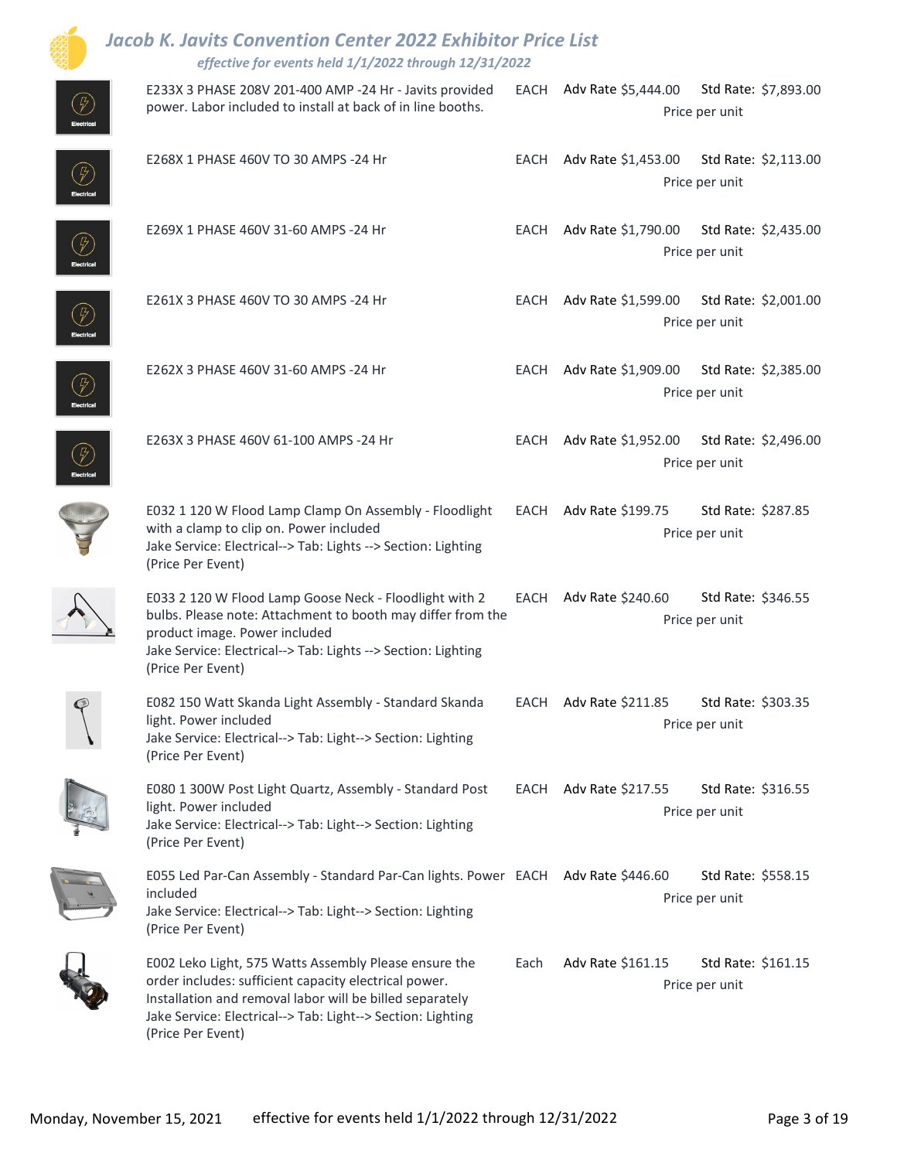|                              | <b>Jacob K. Javits Convention Center 2022 Exhibitor Price List</b><br>effective for events held 1/1/2022 through 12/31/2022                                                                                                                                    |      |                                                                 |
|------------------------------|----------------------------------------------------------------------------------------------------------------------------------------------------------------------------------------------------------------------------------------------------------------|------|-----------------------------------------------------------------|
|                              | E233X 3 PHASE 208V 201-400 AMP -24 Hr - Javits provided<br>power. Labor included to install at back of in line booths.                                                                                                                                         |      | EACH Adv Rate \$5,444.00 Std Rate: \$7,893.00<br>Price per unit |
| $\left(\frac{D}{D}\right)$   | E268X 1 PHASE 460V TO 30 AMPS -24 Hr                                                                                                                                                                                                                           |      | EACH Adv Rate \$1,453.00 Std Rate: \$2,113.00<br>Price per unit |
|                              | E269X 1 PHASE 460V 31-60 AMPS -24 Hr                                                                                                                                                                                                                           |      | EACH Adv Rate \$1,790.00 Std Rate: \$2,435.00<br>Price per unit |
|                              | E261X 3 PHASE 460V TO 30 AMPS -24 Hr                                                                                                                                                                                                                           |      | EACH Adv Rate \$1,599.00 Std Rate: \$2,001.00<br>Price per unit |
| $\left(\frac{\pi}{2}\right)$ | E262X 3 PHASE 460V 31-60 AMPS -24 Hr                                                                                                                                                                                                                           |      | EACH Adv Rate \$1,909.00 Std Rate: \$2,385.00<br>Price per unit |
|                              | E263X 3 PHASE 460V 61-100 AMPS -24 Hr                                                                                                                                                                                                                          |      | EACH Adv Rate \$1,952.00 Std Rate: \$2,496.00<br>Price per unit |
|                              | E032 1 120 W Flood Lamp Clamp On Assembly - Floodlight<br>with a clamp to clip on. Power included<br>Jake Service: Electrical--> Tab: Lights --> Section: Lighting<br>(Price Per Event)                                                                        |      | EACH Adv Rate \$199.75<br>Std Rate: \$287.85<br>Price per unit  |
|                              | E033 2 120 W Flood Lamp Goose Neck - Floodlight with 2<br>bulbs. Please note: Attachment to booth may differ from the<br>product image. Power included<br>Jake Service: Electrical--> Tab: Lights --> Section: Lighting<br>(Price Per Event)                   |      | EACH Adv Rate \$240.60<br>Std Rate: \$346.55<br>Price per unit  |
|                              | E082 150 Watt Skanda Light Assembly - Standard Skanda<br>light. Power included<br>Jake Service: Electrical--> Tab: Light--> Section: Lighting<br>(Price Per Event)                                                                                             |      | EACH Adv Rate \$211.85<br>Std Rate: \$303.35<br>Price per unit  |
|                              | E080 1 300W Post Light Quartz, Assembly - Standard Post<br>light. Power included<br>Jake Service: Electrical--> Tab: Light--> Section: Lighting<br>(Price Per Event)                                                                                           |      | EACH Adv Rate \$217.55<br>Std Rate: \$316.55<br>Price per unit  |
|                              | E055 Led Par-Can Assembly - Standard Par-Can lights. Power EACH Adv Rate \$446.60<br>included<br>Jake Service: Electrical--> Tab: Light--> Section: Lighting<br>(Price Per Event)                                                                              |      | Std Rate: \$558.15<br>Price per unit                            |
|                              | E002 Leko Light, 575 Watts Assembly Please ensure the<br>order includes: sufficient capacity electrical power.<br>Installation and removal labor will be billed separately<br>Jake Service: Electrical--> Tab: Light--> Section: Lighting<br>(Price Per Event) | Each | Adv Rate \$161.15<br>Std Rate: \$161.15<br>Price per unit       |